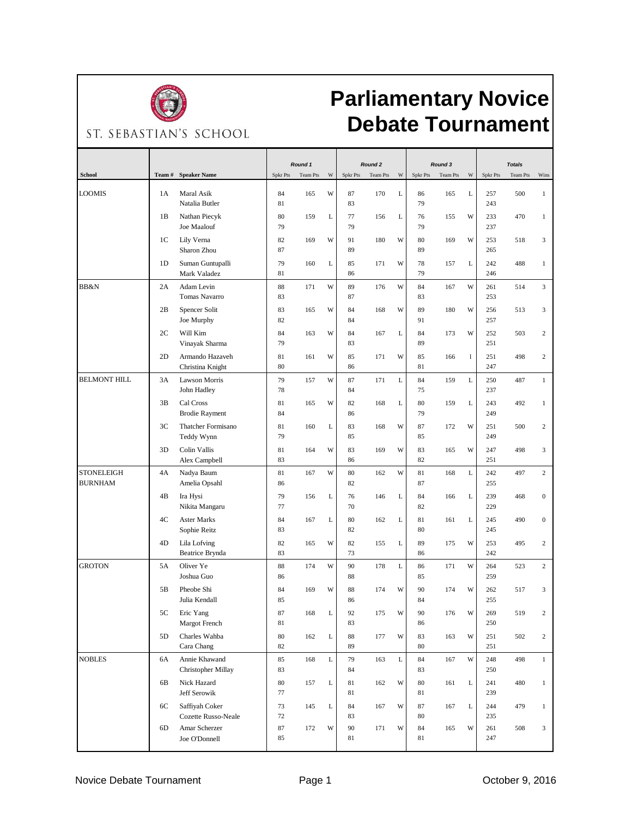

## **Parliamentary Novice Debate Tournament**

ST. SEBASTIAN'S SCHOOL

|                                     |                |                                            | Round 1      |          |   | Round <sub>2</sub> |          |   |              | Round 3  |              | <b>Totals</b> |          |                  |
|-------------------------------------|----------------|--------------------------------------------|--------------|----------|---|--------------------|----------|---|--------------|----------|--------------|---------------|----------|------------------|
| <b>School</b>                       | Team#          | <b>Speaker Name</b>                        | Spkr Pts     | Team Pts | W | Spkr Pts           | Team Pts | W | Spkr Pts     | Team Pts | W            | Spkr Pts      | Team Pts | Wins             |
| <b>LOOMIS</b>                       | 1A             | Maral Asik<br>Natalia Butler               | 84<br>81     | 165      | W | 87<br>83           | 170      | L | 86<br>79     | 165      | L            | 257<br>243    | 500      | $\mathbf{1}$     |
|                                     | 1B             | Nathan Piecyk<br>Joe Maalouf               | 80<br>79     | 159      | L | 77<br>79           | 156      | L | 76<br>79     | 155      | W            | 233<br>237    | 470      | $\mathbf{1}$     |
|                                     | 1C             | Lily Verna<br>Sharon Zhou                  | 82<br>87     | 169      | W | 91<br>89           | 180      | W | 80<br>89     | 169      | W            | 253<br>265    | 518      | 3                |
|                                     | 1 <sub>D</sub> | Suman Guntupalli<br>Mark Valadez           | 79<br>81     | 160      | L | 85<br>86           | 171      | W | 78<br>79     | 157      | L            | 242<br>246    | 488      | $\mathbf{1}$     |
| BB&N                                | 2A             | Adam Levin<br><b>Tomas Navarro</b>         | 88<br>83     | 171      | W | 89<br>87           | 176      | W | 84<br>83     | 167      | W            | 261<br>253    | 514      | 3                |
|                                     | 2B             | Spencer Solit<br>Joe Murphy                | 83<br>82     | 165      | W | 84<br>84           | 168      | W | 89<br>91     | 180      | W            | 256<br>257    | 513      | 3                |
|                                     | 2C             | Will Kim<br>Vinayak Sharma                 | 84<br>79     | 163      | W | 84<br>83           | 167      | L | 84<br>89     | 173      | W            | 252<br>251    | 503      | 2                |
|                                     | 2D             | Armando Hazaveh<br>Christina Knight        | 81<br>80     | 161      | W | 85<br>86           | 171      | W | 85<br>81     | 166      | $\mathbf{1}$ | 251<br>247    | 498      | 2                |
| <b>BELMONT HILL</b>                 | 3A             | Lawson Morris<br>John Hadley               | 79<br>78     | 157      | W | 87<br>84           | 171      | L | 84<br>75     | 159      | L            | 250<br>237    | 487      | $\mathbf{1}$     |
|                                     | 3B             | Cal Cross<br><b>Brodie Rayment</b>         | 81<br>84     | 165      | W | 82<br>86           | 168      | L | 80<br>79     | 159      | L            | 243<br>249    | 492      | $\mathbf{1}$     |
|                                     | 3C             | Thatcher Formisano<br>Teddy Wynn           | 81<br>79     | 160      | L | 83<br>85           | 168      | W | 87<br>85     | 172      | W            | 251<br>249    | 500      | $\mathbf{2}$     |
|                                     | 3D             | Colin Vallis<br>Alex Campbell              | 81<br>83     | 164      | W | 83<br>86           | 169      | W | 83<br>82     | 165      | W            | 247<br>251    | 498      | 3                |
| <b>STONELEIGH</b><br><b>BURNHAM</b> | 4A             | Nadya Baum<br>Amelia Opsahl                | 81<br>86     | 167      | W | 80<br>82           | 162      | W | 81<br>87     | 168      | L            | 242<br>255    | 497      | $\mathbf{2}$     |
|                                     | 4B             | Ira Hysi<br>Nikita Mangaru                 | 79<br>77     | 156      | L | 76<br>70           | 146      | L | 84<br>82     | 166      | L            | 239<br>229    | 468      | $\boldsymbol{0}$ |
|                                     | 4C             | <b>Aster Marks</b><br>Sophie Reitz         | 84<br>83     | 167      | L | 80<br>82           | 162      | L | 81<br>80     | 161      | L            | 245<br>245    | 490      | $\boldsymbol{0}$ |
|                                     | 4D             | Lila Lofving<br>Beatrice Brynda            | 82<br>83     | 165      | W | 82<br>73           | 155      | L | 89<br>86     | 175      | W            | 253<br>242    | 495      | $\mathbf{2}$     |
| <b>GROTON</b>                       | 5A             | Oliver Ye<br>Joshua Guo                    | 88<br>86     | 174      | W | 90<br>88           | 178      | L | 86<br>85     | 171      | W            | 264<br>259    | 523      | $\mathbf{2}$     |
|                                     | 5B             | Pheobe Shi<br>Julia Kendall                | 84<br>85     | 169      | W | 88<br>86           | 174      | W | 90<br>84     | 174      | W            | 262<br>255    | 517      | 3                |
|                                     | 5С             | Eric Yang<br>Margot French                 | 87<br>81     | 168      |   | 92<br>83           | 175      | W | $90\,$<br>86 | 176      | W            | 269<br>250    | 519      | 2                |
|                                     | 5D             | Charles Wahba<br>Cara Chang                | 80<br>82     | 162      | L | $88\,$<br>89       | 177      | W | 83<br>$80\,$ | 163      | W            | 251<br>251    | 502      | $\mathbf{2}$     |
| <b>NOBLES</b>                       | 6A             | Annie Khawand<br><b>Christopher Millay</b> | 85<br>83     | 168      | L | 79<br>84           | 163      | L | 84<br>83     | 167      | W            | 248<br>250    | 498      | $\mathbf{1}$     |
|                                     | 6B             | Nick Hazard<br>Jeff Serowik                | 80<br>77     | 157      | L | 81<br>81           | 162      | W | $80\,$<br>81 | 161      | L            | 241<br>239    | 480      | $\mathbf{1}$     |
|                                     | 6C             | Saffiyah Coker<br>Cozette Russo-Neale      | 73<br>$72\,$ | 145      | L | 84<br>83           | 167      | W | 87<br>$80\,$ | 167      | L            | 244<br>235    | 479      | $\mathbf{1}$     |
|                                     | 6D             | Amar Scherzer<br>Joe O'Donnell             | $87\,$<br>85 | 172      | W | 90<br>81           | 171      | W | 84<br>81     | 165      | W            | 261<br>247    | 508      | 3                |
|                                     |                |                                            |              |          |   |                    |          |   |              |          |              |               |          |                  |